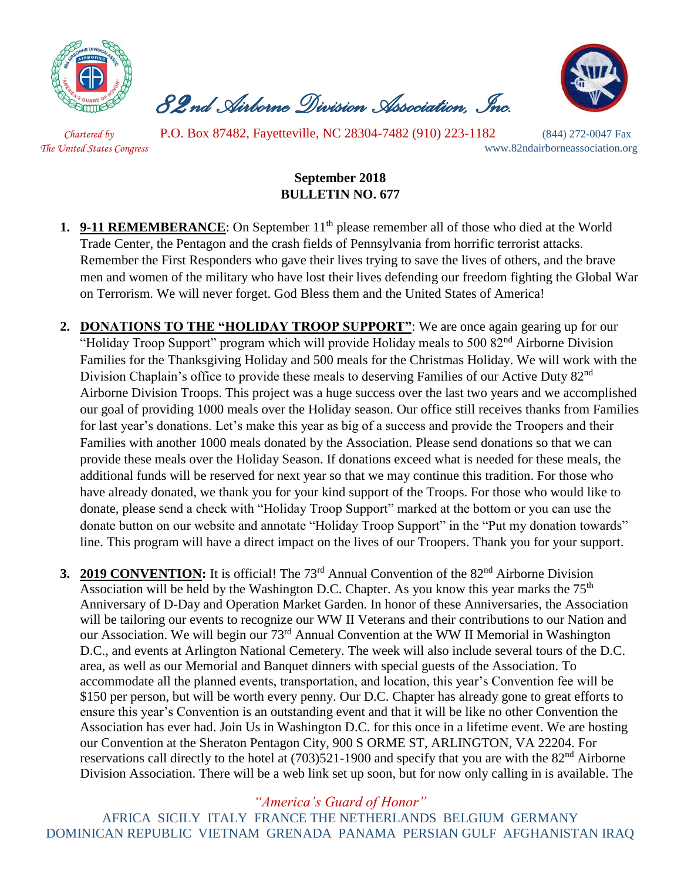

 *82nd Airborne Division Association, Inc.* 



 *Chartered by* P.O. Box 87482, Fayetteville, NC 28304-7482 (910) 223-1182 (844) 272-0047 Fax *The United States Congress* www.82ndairborneassociation.org

## **September 2018 BULLETIN NO. 677**

- **1. 9-11 REMEMBERANCE**: On September 11<sup>th</sup> please remember all of those who died at the World Trade Center, the Pentagon and the crash fields of Pennsylvania from horrific terrorist attacks. Remember the First Responders who gave their lives trying to save the lives of others, and the brave men and women of the military who have lost their lives defending our freedom fighting the Global War on Terrorism. We will never forget. God Bless them and the United States of America!
- **2. DONATIONS TO THE "HOLIDAY TROOP SUPPORT"**: We are once again gearing up for our "Holiday Troop Support" program which will provide Holiday meals to 500 82<sup>nd</sup> Airborne Division Families for the Thanksgiving Holiday and 500 meals for the Christmas Holiday. We will work with the Division Chaplain's office to provide these meals to deserving Families of our Active Duty 82<sup>nd</sup> Airborne Division Troops. This project was a huge success over the last two years and we accomplished our goal of providing 1000 meals over the Holiday season. Our office still receives thanks from Families for last year's donations. Let's make this year as big of a success and provide the Troopers and their Families with another 1000 meals donated by the Association. Please send donations so that we can provide these meals over the Holiday Season. If donations exceed what is needed for these meals, the additional funds will be reserved for next year so that we may continue this tradition. For those who have already donated, we thank you for your kind support of the Troops. For those who would like to donate, please send a check with "Holiday Troop Support" marked at the bottom or you can use the donate button on our website and annotate "Holiday Troop Support" in the "Put my donation towards" line. This program will have a direct impact on the lives of our Troopers. Thank you for your support.
- **3. 2019 CONVENTION:** It is official! The 73<sup>rd</sup> Annual Convention of the 82<sup>nd</sup> Airborne Division Association will be held by the Washington D.C. Chapter. As you know this year marks the  $75<sup>th</sup>$ Anniversary of D-Day and Operation Market Garden. In honor of these Anniversaries, the Association will be tailoring our events to recognize our WW II Veterans and their contributions to our Nation and our Association. We will begin our 73<sup>rd</sup> Annual Convention at the WW II Memorial in Washington D.C., and events at Arlington National Cemetery. The week will also include several tours of the D.C. area, as well as our Memorial and Banquet dinners with special guests of the Association. To accommodate all the planned events, transportation, and location, this year's Convention fee will be \$150 per person, but will be worth every penny. Our D.C. Chapter has already gone to great efforts to ensure this year's Convention is an outstanding event and that it will be like no other Convention the Association has ever had. Join Us in Washington D.C. for this once in a lifetime event. We are hosting our Convention at the Sheraton Pentagon City, 900 S ORME ST, ARLINGTON, VA 22204. For reservations call directly to the hotel at  $(703)521-1900$  and specify that you are with the  $82<sup>nd</sup>$  Airborne Division Association. There will be a web link set up soon, but for now only calling in is available. The

*"America's Guard of Honor"*

AFRICA SICILY ITALY FRANCE THE NETHERLANDS BELGIUM GERMANY DOMINICAN REPUBLIC VIETNAM GRENADA PANAMA PERSIAN GULF AFGHANISTAN IRAQ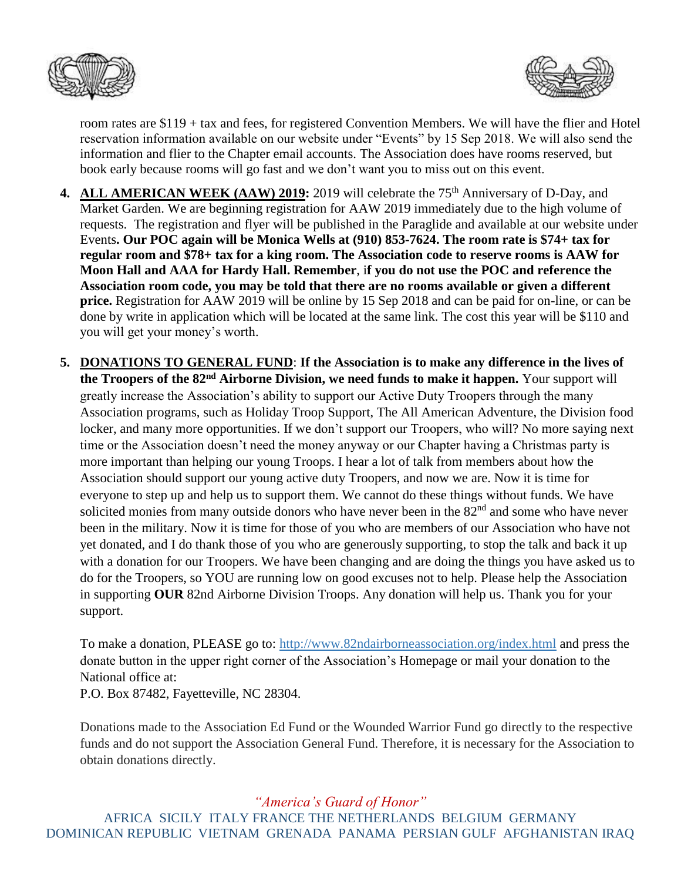



room rates are \$119 + tax and fees, for registered Convention Members. We will have the flier and Hotel reservation information available on our website under "Events" by 15 Sep 2018. We will also send the information and flier to the Chapter email accounts. The Association does have rooms reserved, but book early because rooms will go fast and we don't want you to miss out on this event.

- 4. ALL AMERICAN WEEK (AAW) 2019: 2019 will celebrate the 75<sup>th</sup> Anniversary of D-Day, and Market Garden. We are beginning registration for AAW 2019 immediately due to the high volume of requests. The registration and flyer will be published in the Paraglide and available at our website under Events**. Our POC again will be Monica Wells at (910) 853-7624. The room rate is \$74+ tax for regular room and \$78+ tax for a king room. The Association code to reserve rooms is AAW for Moon Hall and AAA for Hardy Hall. Remember**, i**f you do not use the POC and reference the Association room code, you may be told that there are no rooms available or given a different price.** Registration for AAW 2019 will be online by 15 Sep 2018 and can be paid for on-line, or can be done by write in application which will be located at the same link. The cost this year will be \$110 and you will get your money's worth.
- **5. DONATIONS TO GENERAL FUND**: **If the Association is to make any difference in the lives of the Troopers of the 82nd Airborne Division, we need funds to make it happen.** Your support will greatly increase the Association's ability to support our Active Duty Troopers through the many Association programs, such as Holiday Troop Support, The All American Adventure, the Division food locker, and many more opportunities. If we don't support our Troopers, who will? No more saying next time or the Association doesn't need the money anyway or our Chapter having a Christmas party is more important than helping our young Troops. I hear a lot of talk from members about how the Association should support our young active duty Troopers, and now we are. Now it is time for everyone to step up and help us to support them. We cannot do these things without funds. We have solicited monies from many outside donors who have never been in the  $82<sup>nd</sup>$  and some who have never been in the military. Now it is time for those of you who are members of our Association who have not yet donated, and I do thank those of you who are generously supporting, to stop the talk and back it up with a donation for our Troopers. We have been changing and are doing the things you have asked us to do for the Troopers, so YOU are running low on good excuses not to help. Please help the Association in supporting **OUR** 82nd Airborne Division Troops. Any donation will help us. Thank you for your support.

To make a donation, PLEASE go to:<http://www.82ndairborneassociation.org/index.html> and press the donate button in the upper right corner of the Association's Homepage or mail your donation to the National office at:

P.O. Box 87482, Fayetteville, NC 28304.

Donations made to the Association Ed Fund or the Wounded Warrior Fund go directly to the respective funds and do not support the Association General Fund. Therefore, it is necessary for the Association to obtain donations directly.

*"America's Guard of Honor"*

AFRICA SICILY ITALY FRANCE THE NETHERLANDS BELGIUM GERMANY DOMINICAN REPUBLIC VIETNAM GRENADA PANAMA PERSIAN GULF AFGHANISTAN IRAQ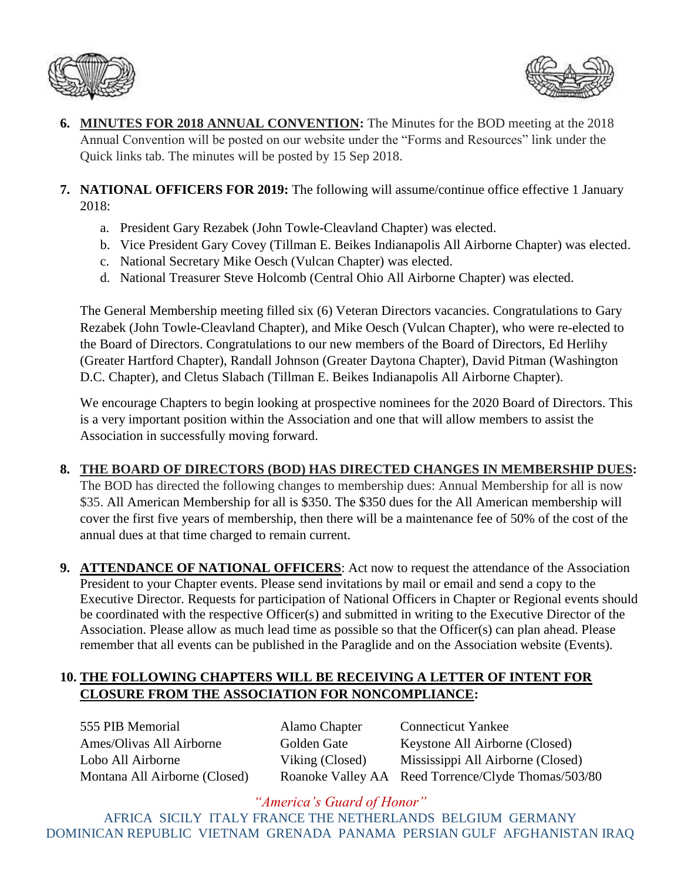



- **6. MINUTES FOR 2018 ANNUAL CONVENTION:** The Minutes for the BOD meeting at the 2018 Annual Convention will be posted on our website under the "Forms and Resources" link under the Quick links tab. The minutes will be posted by 15 Sep 2018.
- **7. NATIONAL OFFICERS FOR 2019:** The following will assume/continue office effective 1 January 2018:
	- a. President Gary Rezabek (John Towle-Cleavland Chapter) was elected.
	- b. Vice President Gary Covey (Tillman E. Beikes Indianapolis All Airborne Chapter) was elected.
	- c. National Secretary Mike Oesch (Vulcan Chapter) was elected.
	- d. National Treasurer Steve Holcomb (Central Ohio All Airborne Chapter) was elected.

The General Membership meeting filled six (6) Veteran Directors vacancies. Congratulations to Gary Rezabek (John Towle-Cleavland Chapter), and Mike Oesch (Vulcan Chapter), who were re-elected to the Board of Directors. Congratulations to our new members of the Board of Directors, Ed Herlihy (Greater Hartford Chapter), Randall Johnson (Greater Daytona Chapter), David Pitman (Washington D.C. Chapter), and Cletus Slabach (Tillman E. Beikes Indianapolis All Airborne Chapter).

We encourage Chapters to begin looking at prospective nominees for the 2020 Board of Directors. This is a very important position within the Association and one that will allow members to assist the Association in successfully moving forward.

## **8. THE BOARD OF DIRECTORS (BOD) HAS DIRECTED CHANGES IN MEMBERSHIP DUES:**

The BOD has directed the following changes to membership dues: Annual Membership for all is now \$35. All American Membership for all is \$350. The \$350 dues for the All American membership will cover the first five years of membership, then there will be a maintenance fee of 50% of the cost of the annual dues at that time charged to remain current.

**9. ATTENDANCE OF NATIONAL OFFICERS**: Act now to request the attendance of the Association President to your Chapter events. Please send invitations by mail or email and send a copy to the Executive Director. Requests for participation of National Officers in Chapter or Regional events should be coordinated with the respective Officer(s) and submitted in writing to the Executive Director of the Association. Please allow as much lead time as possible so that the Officer(s) can plan ahead. Please remember that all events can be published in the Paraglide and on the Association website (Events).

## **10. THE FOLLOWING CHAPTERS WILL BE RECEIVING A LETTER OF INTENT FOR CLOSURE FROM THE ASSOCIATION FOR NONCOMPLIANCE:**

555 PIB Memorial Alamo Chapter Connecticut Yankee Ames/Olivas All Airborne Golden Gate Keystone All Airborne (Closed) Lobo All Airborne Viking (Closed) Mississippi All Airborne (Closed) Montana All Airborne (Closed) Roanoke Valley AA Reed Torrence/Clyde Thomas/503/80

*"America's Guard of Honor"* AFRICA SICILY ITALY FRANCE THE NETHERLANDS BELGIUM GERMANY DOMINICAN REPUBLIC VIETNAM GRENADA PANAMA PERSIAN GULF AFGHANISTAN IRAQ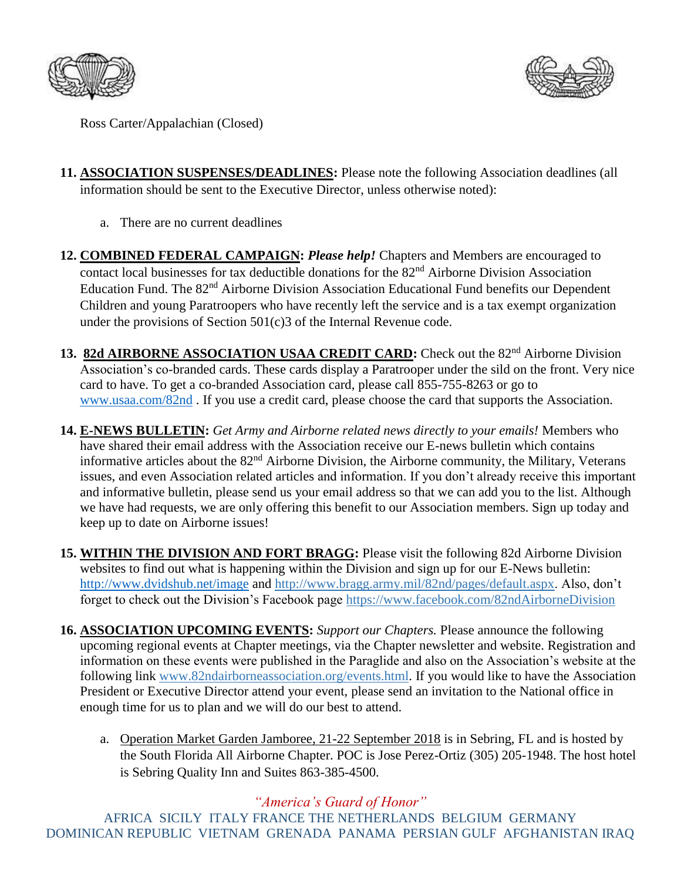



Ross Carter/Appalachian (Closed)

- **11. ASSOCIATION SUSPENSES/DEADLINES:** Please note the following Association deadlines (all information should be sent to the Executive Director, unless otherwise noted):
	- a. There are no current deadlines
- **12. COMBINED FEDERAL CAMPAIGN:** *Please help!* Chapters and Members are encouraged to contact local businesses for tax deductible donations for the 82<sup>nd</sup> Airborne Division Association Education Fund. The 82<sup>nd</sup> Airborne Division Association Educational Fund benefits our Dependent Children and young Paratroopers who have recently left the service and is a tax exempt organization under the provisions of Section 501(c)3 of the Internal Revenue code.
- 13. 82d AIRBORNE ASSOCIATION USAA CREDIT CARD: Check out the 82<sup>nd</sup> Airborne Division Association's co-branded cards. These cards display a Paratrooper under the sild on the front. Very nice card to have. To get a co-branded Association card, please call 855-755-8263 or go to [www.usaa.com/82nd](http://www.usaa.com/82nd) . If you use a credit card, please choose the card that supports the Association.
- **14. E-NEWS BULLETIN:** *Get Army and Airborne related news directly to your emails!* Members who have shared their email address with the Association receive our E-news bulletin which contains informative articles about the 82nd Airborne Division, the Airborne community, the Military, Veterans issues, and even Association related articles and information. If you don't already receive this important and informative bulletin, please send us your email address so that we can add you to the list. Although we have had requests, we are only offering this benefit to our Association members. Sign up today and keep up to date on Airborne issues!
- **15. WITHIN THE DIVISION AND FORT BRAGG:** Please visit the following 82d Airborne Division websites to find out what is happening within the Division and sign up for our E-News bulletin: <http://www.dvidshub.net/image> and [http://www.bragg.army.mil/82nd/pages/default.aspx.](http://www.bragg.army.mil/82ND/Pages/default.aspx) Also, don't forget to check out the Division's Facebook page<https://www.facebook.com/82ndAirborneDivision>
- **16. ASSOCIATION UPCOMING EVENTS:** *Support our Chapters.* Please announce the following upcoming regional events at Chapter meetings, via the Chapter newsletter and website. Registration and information on these events were published in the Paraglide and also on the Association's website at the following link [www.82ndairborneassociation.org/events.html.](http://www.82ndairborneassociation.org/events.html) If you would like to have the Association President or Executive Director attend your event, please send an invitation to the National office in enough time for us to plan and we will do our best to attend.
	- a. Operation Market Garden Jamboree, 21-22 September 2018 is in Sebring, FL and is hosted by the South Florida All Airborne Chapter. POC is Jose Perez-Ortiz (305) 205-1948. The host hotel is Sebring Quality Inn and Suites 863-385-4500.

## *"America's Guard of Honor"*

AFRICA SICILY ITALY FRANCE THE NETHERLANDS BELGIUM GERMANY DOMINICAN REPUBLIC VIETNAM GRENADA PANAMA PERSIAN GULF AFGHANISTAN IRAQ